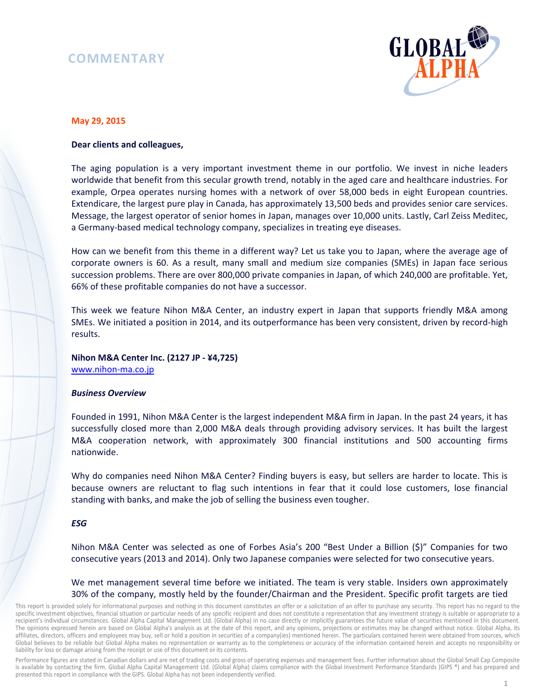## **COMMENTARY**



### **May 29, 2015**

#### **Dear clients and colleagues,**

The aging population is a very important investment theme in our portfolio. We invest in niche leaders worldwide that benefit from this secular growth trend, notably in the aged care and healthcare industries. For example, Orpea operates nursing homes with a network of over 58,000 beds in eight European countries. Extendicare, the largest pure play in Canada, has approximately 13,500 beds and provides senior care services. Message, the largest operator of senior homes in Japan, manages over 10,000 units. Lastly, Carl Zeiss Meditec, a Germany-based medical technology company, specializes in treating eye diseases.

How can we benefit from this theme in a different way? Let us take you to Japan, where the average age of corporate owners is 60. As a result, many small and medium size companies (SMEs) in Japan face serious succession problems. There are over 800,000 private companies in Japan, of which 240,000 are profitable. Yet, 66% of these profitable companies do not have a successor.

This week we feature Nihon M&A Center, an industry expert in Japan that supports friendly M&A among SMEs. We initiated a position in 2014, and its outperformance has been very consistent, driven by record-high results.

# **Nihon M&A Center Inc. (2127 JP - ¥4,725)**

www.nihon-ma.co.jp

### *Business Overview*

Founded in 1991, Nihon M&A Center is the largest independent M&A firm in Japan. In the past 24 years, it has successfully closed more than 2,000 M&A deals through providing advisory services. It has built the largest M&A cooperation network, with approximately 300 financial institutions and 500 accounting firms nationwide.

Why do companies need Nihon M&A Center? Finding buyers is easy, but sellers are harder to locate. This is because owners are reluctant to flag such intentions in fear that it could lose customers, lose financial standing with banks, and make the job of selling the business even tougher.

### *ESG*

Nihon M&A Center was selected as one of Forbes Asia's 200 "Best Under a Billion (\$)" Companies for two consecutive years (2013 and 2014). Only two Japanese companies were selected for two consecutive years.

### We met management several time before we initiated. The team is very stable. Insiders own approximately 30% of the company, mostly held by the founder/Chairman and the President. Specific profit targets are tied

This report is provided solely for informational purposes and nothing in this document constitutes an offer or a solicitation of an offer to purchase any security. This report has no regard to the specific investment objectives, financial situation or particular needs of any specific recipient and does not constitute a representation that any investment strategy is suitable or appropriate to a recipient's individual circumstances. Global Alpha Capital Management Ltd. (Global Alpha) in no case directly or implicitly guarantees the future value of securities mentioned in this document. The opinions expressed herein are based on Global Alpha's analysis as at the date of this report, and any opinions, projections or estimates may be changed without notice. Global Alpha, its affiliates, directors, officers and employees may buy, sell or hold a position in securities of a company(ies) mentioned herein. The particulars contained herein were obtained from sources, which Global believes to be reliable but Global Alpha makes no representation or warranty as to the completeness or accuracy of the information contained herein and accepts no responsibility or liability for loss or damage arising from the receipt or use of this document or its contents.

Performance figures are stated in Canadian dollars and are net of trading costs and gross of operating expenses and management fees. Further information about the Global Small Cap Composite is available by contacting the firm. Global Alpha Capital Management Ltd. (Global Alpha) claims compliance with the Global Investment Performance Standards (GIPS ®) and has prepared and presented this report in compliance with the GIPS. Global Alpha has not been independently verified.